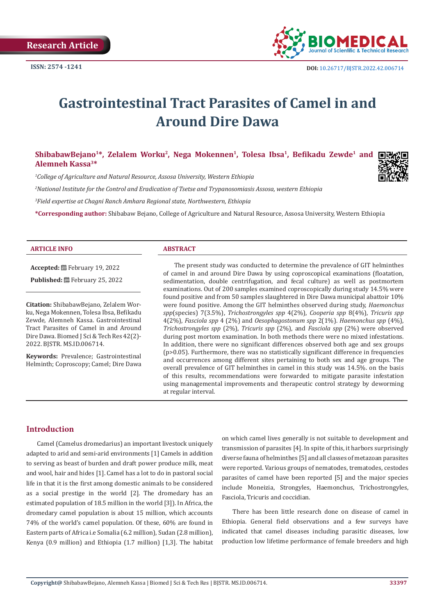

# **Gastrointestinal Tract Parasites of Camel in and Around Dire Dawa**

ShibabawBejano<sup>1\*</sup>, Zelalem Worku<sup>2</sup>, Nega Mokennen<sup>1</sup>, Tolesa Ibsa<sup>1</sup>, Befikadu Zewde<sup>1</sup> and □ **Alemneh Kassa3\***

*1 College of Agriculture and Natural Resource, Assosa University, Western Ethiopia*

*2 National Institute for the Control and Eradication of Tsetse and Trypanosomiasis Assosa, western Ethiopia*

*3 Field expertise at Chagni Ranch Amhara Regional state, Northwestern, Ethiopia*

**\*Corresponding author:** Shibabaw Bejano, College of Agriculture and Natural Resource, Assosa University, Western Ethiopia

#### **ARTICLE INFO ABSTRACT**

**Accepted:** February 19, 2022 Published: **世**February 25, 2022

**Citation:** ShibabawBejano, Zelalem Worku, Nega Mokennen, Tolesa Ibsa, Befikadu Zewde, Alemneh Kassa. Gastrointestinal Tract Parasites of Camel in and Around Dire Dawa. Biomed J Sci & Tech Res 42(2)- 2022. BJSTR. MS.ID.006714.

**Keywords:** Prevalence; Gastrointestinal Helminth; Coproscopy; Camel; Dire Dawa

The present study was conducted to determine the prevalence of GIT helminthes of camel in and around Dire Dawa by using coproscopical examinations (floatation, sedimentation, double centrifugation, and fecal culture) as well as postmortem examinations. Out of 200 samples examined coproscopically during study 14.5% were found positive and from 50 samples slaughtered in Dire Dawa municipal abattoir 10% were found positive. Among the GIT helminthes observed during study, *Haemonchus spp*(species) 7(3.5%), *Trichostrongyles spp* 4(2%), *Cooperia spp* 8(4%), *Tricuris spp* 4(2%), *Fasciola spp* 4 (2%) and *Oesophagostonum spp* 2(1%). *Haemonchus spp* (4%), *Trichostrongyles spp* (2%), *Tricuris spp* (2%), and *Fasciola spp* (2%) were observed during post mortom examination. In both methods there were no mixed infestations. In addition, there were no significant differences observed both age and sex groups (p>0.05). Furthermore, there was no statistically significant difference in frequencies and occurrences among different sites pertaining to both sex and age groups. The overall prevalence of GIT helminthes in camel in this study was 14.5%. on the basis of this results, recommendations were forwarded to mitigate parasite infestation using managemental improvements and therapeutic control strategy by deworming at regular interval.

## **Introduction**

Camel (Camelus dromedarius) an important livestock uniquely adapted to arid and semi-arid environments [1] Camels in addition to serving as beast of burden and draft power produce milk, meat and wool, hair and hides [1]. Camel has a lot to do in pastoral social life in that it is the first among domestic animals to be considered as a social prestige in the world [2]. The dromedary has an estimated population of 18.5 million in the world [3]). In Africa, the dromedary camel population is about 15 million, which accounts 74% of the world's camel population. Of these, 60% are found in Eastern parts of Africa i.e Somalia (6.2 million), Sudan (2.8 million), Kenya (0.9 million) and Ethiopia (1.7 million) [1,3]. The habitat on which camel lives generally is not suitable to development and transmission of parasites [4]. In spite of this, it harbors surprisingly diverse fauna of helminthes [5] and all classes of metazoan parasites were reported. Various groups of nematodes, trematodes, cestodes parasites of camel have been reported [5] and the major species include Moneizia, Strongyles, Haemonchus, Trichostrongyles, Fasciola, Tricuris and coccidian.

There has been little research done on disease of camel in Ethiopia. General field observations and a few surveys have indicated that camel diseases including parasitic diseases, low production low lifetime performance of female breeders and high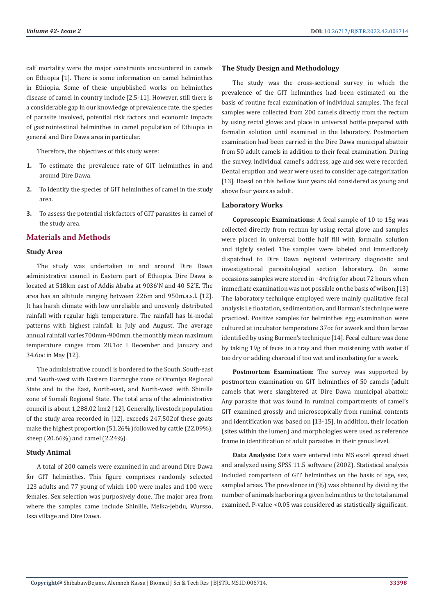calf mortality were the major constraints encountered in camels on Ethiopia [1]. There is some information on camel helminthes in Ethiopia. Some of these unpublished works on helminthes disease of camel in country include [2,5-11]. However, still there is a considerable gap in our knowledge of prevalence rate, the species of parasite involved, potential risk factors and economic impacts of gastrointestinal helminthes in camel population of Ethiopia in general and Dire Dawa area in particular.

Therefore, the objectives of this study were:

- **1.** To estimate the prevalence rate of GIT helminthes in and around Dire Dawa.
- **2.** To identify the species of GIT helminthes of camel in the study area.
- **3.** To assess the potential risk factors of GIT parasites in camel of the study area.

## **Materials and Methods**

#### **Study Area**

The study was undertaken in and around Dire Dawa administrative council in Eastern part of Ethiopia. Dire Dawa is located at 518km east of Addis Ababa at 9036'N and 40 52'E. The area has an altitude ranging between 226m and 950m.a.s.l. [12]. It has harsh climate with low unreliable and unevenly distributed rainfall with regular high temperature. The rainfall has bi-modal patterns with highest rainfall in July and August. The average annual rainfall varies700mm-900mm. the monthly mean maximum temperature ranges from 28.1oc I December and January and 34.6oc in May [12].

The administrative council is bordered to the South, South-east and South-west with Eastern Harrarghe zone of Oromiya Regional State and to the East, North-east, and North-west with Shinille zone of Somali Regional State. The total area of the administrative council is about 1,288.02 km2 [12]. Generally, livestock population of the study area recorded in [12]. exceeds 247,502of these goats make the highest proportion (51.26%) followed by cattle (22.09%); sheep (20.66%) and camel (2.24%).

#### **Study Animal**

A total of 200 camels were examined in and around Dire Dawa for GIT helminthes. This figure comprises randomly selected 123 adults and 77 young of which 100 were males and 100 were females. Sex selection was purposively done. The major area from where the samples came include Shinille, Melka-jebdu, Wursso, Issa village and Dire Dawa.

#### **The Study Design and Methodology**

The study was the cross-sectional survey in which the prevalence of the GIT helminthes had been estimated on the basis of routine fecal examination of individual samples. The fecal samples were collected from 200 camels directly from the rectum by using rectal gloves and place in universal bottle prepared with formalin solution until examined in the laboratory. Postmortem examination had been carried in the Dire Dawa municipal abattoir from 50 adult camels in addition to their fecal examination. During the survey, individual camel's address, age and sex were recorded. Dental eruption and wear were used to consider age categorization [13]. Baesd on this bellow four years old considered as young and above four years as adult.

## **Laboratory Works**

**Coproscopic Examinations:** A fecal sample of 10 to 15g was collected directly from rectum by using rectal glove and samples were placed in universal bottle half fill with formalin solution and tightly sealed. The samples were labeled and immediately dispatched to Dire Dawa regional veterinary diagnostic and investigational parasitological section laboratory. On some occasions samples were stored in  $+4^{\circ}$ c frig for about 72 hours when immediate examination was not possible on the basis of wilson,[13] The laboratory technique employed were mainly qualitative fecal analysis i.e floatation, sedimentation, and Barman's technique were practiced. Positive samples for helminthes egg examination were cultured at incubator temperature 37oc for aweek and then larvae identified by using Burmen's technique [14]. Fecal culture was done by taking 19g of feces in a tray and then moistening with water if too dry or adding charcoal if too wet and incubating for a week.

**Postmortem Examination:** The survey was supported by postmortem examination on GIT helminthes of 50 camels (adult camels that were slaughtered at Dire Dawa municipal abattoir. Any parasite that was found in ruminal compartments of camel's GIT examined grossly and microscopically from ruminal contents and identification was based on [13-15]. In addition, their location (sites within the lumen) and morphologies were used as reference frame in identification of adult parasites in their genus level.

**Data Analysis:** Data were entered into MS excel spread sheet and analyzed using SPSS 11.5 software (2002). Statistical analysis included comparison of GIT helminthes on the basis of age, sex, sampled areas. The prevalence in (%) was obtained by dividing the number of animals harboring a given helminthes to the total animal examined. P-value <0.05 was considered as statistically significant.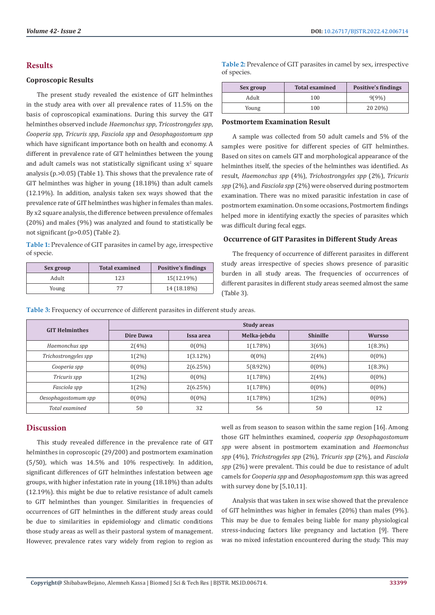## **Results**

#### **Coproscopic Results**

The present study revealed the existence of GIT helminthes in the study area with over all prevalence rates of 11.5% on the basis of coproscopical examinations. During this survey the GIT helminthes observed include *Haemonchus spp*, *Tricostrongyles spp*, *Cooperia spp*, *Tricuris spp*, *Fasciola spp* and *Oesophagostomum spp* which have significant importance both on health and economy. A different in prevalence rate of GIT helminthes between the young and adult camels was not statistically significant using  $x^2$  square analysis (p.>0.05) (Table 1). This shows that the prevalence rate of GIT helminthes was higher in young (18.18%) than adult camels (12.19%). In addition, analysis taken sex ways showed that the prevalence rate of GIT helminthes was higher in females than males. By x2 square analysis, the difference between prevalence of females (20%) and males (9%) was analyzed and found to statistically be not significant (p>0.05) (Table 2).

**Table 1:** Prevalence of GIT parasites in camel by age, irrespective of specie.

| Sex group | <b>Total examined</b> | <b>Positive's findings</b> |  |
|-----------|-----------------------|----------------------------|--|
| Adult     | 123                   | 15(12.19%)                 |  |
| Young     |                       | 14 (18.18%)                |  |

**Table 2:** Prevalence of GIT parasites in camel by sex, irrespective of species.

| Sex group | <b>Total examined</b> | <b>Positive's findings</b> |  |
|-----------|-----------------------|----------------------------|--|
| Adult     | 100                   | 9(9%)                      |  |
| Young     | 100                   | 20 20%)                    |  |

#### **Postmortem Examination Result**

A sample was collected from 50 adult camels and 5% of the samples were positive for different species of GIT helminthes. Based on sites on camels GIT and morphological appearance of the helminthes itself, the species of the helminthes was identified. As result, *Haemonchus spp* (4%), *Trichostrongyles spp* (2%), *Tricuris spp* (2%), and *Fasciola spp* (2%) were observed during postmortem examination. There was no mixed parasitic infestation in case of postmortem examination. On some occasions, Postmortem findings helped more in identifying exactly the species of parasites which was difficult during fecal eggs.

#### **Occurrence of GIT Parasites in Different Study Areas**

The frequency of occurrence of different parasites in different study areas irrespective of species shows presence of parasitic burden in all study areas. The frequencies of occurrences of different parasites in different study areas seemed almost the same (Table 3).

|  | Table 3: Frequency of occurrence of different parasites in different study areas. |
|--|-----------------------------------------------------------------------------------|
|  |                                                                                   |

| <b>GIT Helminthes</b> | <b>Study areas</b> |             |             |                 |               |  |
|-----------------------|--------------------|-------------|-------------|-----------------|---------------|--|
|                       | Dire Dawa          | Issa area   | Melka-jebdu | <b>Shinille</b> | <b>Wursso</b> |  |
| Haemonchus spp        | 2(4%)              | $0(0\%)$    | $1(1.78\%)$ | 3(6%)           | $1(8.3\%)$    |  |
| Trichostrongyles spp  | $1(2\%)$           | $1(3.12\%)$ | $0(0\%)$    | 2(4%)           | $0(0\%)$      |  |
| Cooperia spp          | $0(0\%)$           | 2(6.25%)    | $5(8.92\%)$ | $0(0\%)$        | $1(8.3\%)$    |  |
| Tricuris spp          | $1(2\%)$           | $0(0\%)$    | $1(1.78\%)$ | 2(4%)           | $0(0\%)$      |  |
| Fasciola spp          | $1(2\%)$           | 2(6.25%)    | $1(1.78\%)$ | $0(0\%)$        | $0(0\%)$      |  |
| Oesophagostomum spp   | $0(0\%)$           | $0(0\%)$    | $1(1.78\%)$ | $1(2\%)$        | $0(0\%)$      |  |
| Total examined        | 50                 | 32          | 56          | 50              | 12            |  |

# **Discussion**

This study revealed difference in the prevalence rate of GIT helminthes in coproscopic (29/200) and postmortem examination (5/50), which was 14.5% and 10% respectively. In addition, significant differences of GIT helminthes infestation between age groups, with higher infestation rate in young (18.18%) than adults (12.19%). this might be due to relative resistance of adult camels to GIT helminthes than younger. Similarities in frequencies of occurrences of GIT helminthes in the different study areas could be due to similarities in epidemiology and climatic conditions those study areas as well as their pastoral system of management. However, prevalence rates vary widely from region to region as

well as from season to season within the same region [16]. Among those GIT helminthes examined, *cooperia spp Oesophagostomum spp* were absent in postmortem examination and *Haemonchus spp* (4%), *Trichstrogyles spp* (2%), *Tricuris spp* (2%), and *Fasciola spp* (2%) were prevalent. This could be due to resistance of adult camels for *Cooperia spp* and *Oesophagostomum spp*. this was agreed with survey done by [5,10,11].

Analysis that was taken in sex wise showed that the prevalence of GIT helminthes was higher in females (20%) than males (9%). This may be due to females being liable for many physiological stress-inducing factors like pregnancy and lactation [9]. There was no mixed infestation encountered during the study. This may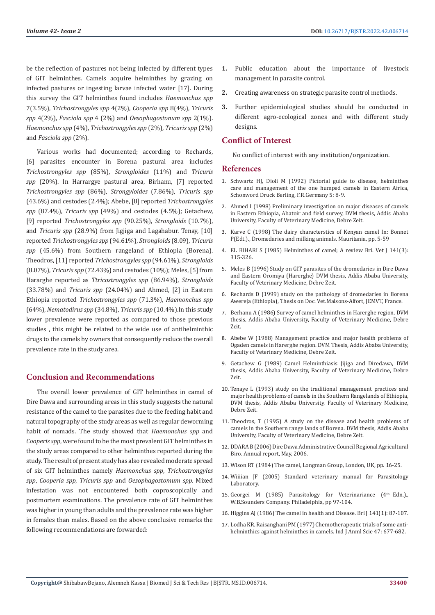be the reflection of pastures not being infected by different types of GIT helminthes. Camels acquire helminthes by grazing on infected pastures or ingesting larvae infected water [17]. During this survey the GIT helminthes found includes *Haemonchus spp* 7(3.5%), *Trichostrongyles spp* 4(2%), *Cooperia spp* 8(4%), *Tricuris spp* 4(2%), *Fasciola spp* 4 (2%) and *Oesophagostonum spp* 2(1%). *Haemonchus spp* (4%), *Trichostrongyles spp* (2%), *Tricuris spp* (2%) and *Fasciola spp* (2%).

Various works had documented; according to Rechards, [6] parasites encounter in Borena pastural area includes *Trichostrongyles spp* (85%), *Strongloides* (11%) and *Tricuris spp* (20%). In Harrargye pastural area, Birhanu, [7] reported *Trichostrongyles spp* (86%), *Strongyloides* (7.86%), *Tricuris spp* (43.6%) and cestodes (2.4%); Abebe, [8] reported *Trichostrongyles spp* (87.4%), *Tricuris spp* (49%) and cestodes (4.5%); Getachew, [9] reported *Trichostrongyles spp* (90.25%), *Strongloids* (10.7%), and *Tricuris spp* (28.9%) from Jigjiga and Lagahabur. Tenay, [10] reported *Trichostrongyles spp* (94.61%), *Strongloids* (8.09), *Tricuris spp* (45.6%) from Southern rangeland of Ethiopia (Borena). Theodros, [11] reported *Trichostrongyles spp* (94.61%), *Strongloids* (8.07%), *Tricuris spp* (72.43%) and cestodes (10%); Meles, [5] from Hararghe reported as *Ttricostrongyles spp* (86.94%), *Strongloids* (33.78%) and *Tricuris spp* (24.04%) and Ahmed, [2] in Eastern Ethiopia reported *Trichostrongyles spp* (71.3%), *Haemonchus spp* (64%), *Nematodirus spp* (34.8%), *Tricuris spp* (10.4%).In this study lower prevalence were reported as compared to those previous studies , this might be related to the wide use of antihelminthic drugs to the camels by owners that consequently reduce the overall prevalence rate in the study area.

## **Conclusion and Recommendations**

The overall lower prevalence of GIT helminthes in camel of Dire Dawa and surrounding areas in this study suggests the natural resistance of the camel to the parasites due to the feeding habit and natural topography of the study areas as well as regular deworming habit of nomads. The study showed that *Haemonchus spp* and *Cooperis spp*, were found to be the most prevalent GIT helminthes in the study areas compared to other helminthes reported during the study. The result of present study has also revealed moderate spread of six GIT helminthes namely *Haemonchus spp*, *Trichostrongyles spp*, *Cooperia spp*, *Tricuris spp* and *Oesophagostomum spp*. Mixed infestation was not encountered both coproscopically and postmortem examinations. The prevalence rate of GIT helminthes was higher in young than adults and the prevalence rate was higher in females than males. Based on the above conclusive remarks the following recommendations are forwarded:

- **1.** Public education about the importance of livestock management in parasite control.
- **2.** Creating awareness on strategic parasite control methods.
- **3.** Further epidemiological studies should be conducted in different agro-ecological zones and with different study designs.

## **Conflict of Interest**

No conflict of interest with any institution/organization.

#### **References**

- 1. Schwartz HJ, Dioli M (1992) Pictorial guide to disease, helminthes care and management of the one humped camels in Eastern Africa, Schonword Druck Berling, F.R.Germany 5: 8-9.
- 2. Ahmed I (1998) Preliminary investigation on major diseases of camels in Eastern Ethiopia, Abatoir and field survey, DVM thesis, Addis Ababa University, Faculty of Veterinary Medicine, Debre Zeit.
- 3. Karve C (1998) The dairy characterstics of Kenyan camel In: Bonnet P(Edt.)., Dromedaries and milking animals. Mauritania, pp. 5-59
- 4. EL BIHARI S (1985) Helminthes of camel; A review Bri. Vet J 141(3): 315-326.
- 5. Meles B (1996) Study on GIT parasites of the dromedaries in Dire Dawa and Eastern Oromiya (Harerghe) DVM thesis, Addis Ababa University, Faculty of Veterinary Medicine, Debre Zeit.
- 6. Rechards D (1999) study on the pathology of dromedaries in Borena Awereja (Ethiopia), Thesis on Doc. Vet.Maisons-Alfort, JEMVT, France.
- 7. Berhanu A (1986) Survey of camel helminthes in Harerghe region, DVM thesis, Addis Ababa University, Faculty of Veterinary Medicine, Debre Zeit.
- 8. Abebe W (1988) Management practice and major health problems of Ogaden camels in Harerghe region. DVM Thesis, Addis Ababa University, Faculty of Veterinary Medicine, Debre Zeit.
- 9. Getachew G (1989) Camel Helminthiasis Jijiga and Diredawa, DVM thesis, Addis Ababa University, Faculty of Veterinary Medicine, Debre Zeit.
- 10. Tenaye L (1993) study on the traditional management practices and major health problems of camels in the Southern Rangelands of Ethiopia, DVM thesis, Addis Ababa University, Faculty of Veterinary Medicine, Debre Zeit.
- 11. Theodros, T (1995) A study on the disease and health problems of camels in the Southern range lands of Borena. DVM thesis, Addis Ababa University, Faculty of Veterinary Medicine, Debre Zeit.
- 12. DDARA B (2006) Dire Dawa Administrative Council Regional Agricultural Biro. Annual report, May, 2006.
- 13. Wison RT (1984) The camel, Longman Group, London, UK, pp. 16-25.
- 14. Wiiiian JF (2005) Standard veterinary manual for Parasitology Laboratory.
- 15. Georgei M (1985) Parasitology for Veterinariance (4<sup>th</sup> Edn.). W.B.Sounders Company. Philadelphia, pp 97-104.
- 16. Higgins AJ (1986) The camel in health and Disease. Bri J 141(1): 87-107.
- 17. Lodha KR, Raisanghani PM (1977) Chemotherapeutic trials of some antihelminthics against helminthes in camels. Ind J Anml Scie 47: 677-682.